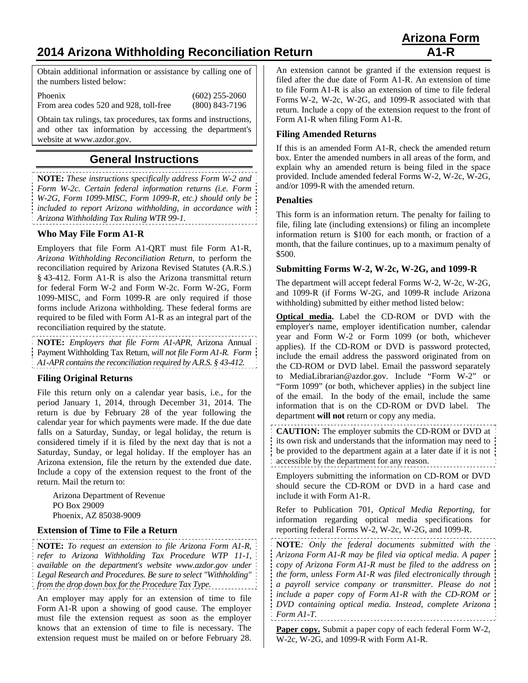# **2014 Arizona Withholding Reconciliation Return A1-R**

Obtain additional information or assistance by calling one of the numbers listed below:

Phoenix (602) 255-2060 From area codes 520 and 928, toll-free (800) 843-7196

Obtain tax rulings, tax procedures, tax forms and instructions, and other tax information by accessing the department's website at www.azdor.gov.

## **General Instructions**

**NOTE:** *These instructions specifically address Form W-2 and Form W-2c. Certain federal information returns (i.e. Form W-2G, Form 1099-MISC, Form 1099-R, etc.) should only be included to report Arizona withholding, in accordance with Arizona Withholding Tax Ruling WTR 99-1.*

### **Who May File Form A1-R**

Employers that file Form A1-QRT must file Form A1-R, *Arizona Withholding Reconciliation Return*, to perform the reconciliation required by Arizona Revised Statutes (A.R.S.) § 43-412. Form A1-R is also the Arizona transmittal return for federal Form W-2 and Form W-2c. Form W-2G, Form 1099-MISC, and Form 1099-R are only required if those forms include Arizona withholding. These federal forms are required to be filed with Form A1-R as an integral part of the reconciliation required by the statute.

**NOTE:** *Employers that file Form A1-APR,* Arizona Annual Payment Withholding Tax Return*, will not file Form A1-R. Form A1-APR contains the reconciliation required by A.R.S. § 43-412.*

### **Filing Original Returns**

File this return only on a calendar year basis, i.e., for the period January 1, 2014, through December 31, 2014. The return is due by February 28 of the year following the calendar year for which payments were made. If the due date falls on a Saturday, Sunday, or legal holiday, the return is considered timely if it is filed by the next day that is not a Saturday, Sunday, or legal holiday. If the employer has an Arizona extension, file the return by the extended due date. Include a copy of the extension request to the front of the return. Mail the return to:

Arizona Department of Revenue PO Box 29009 Phoenix, AZ 85038-9009

#### **Extension of Time to File a Return**

**NOTE:** *To request an extension to file Arizona Form A1-R, refer to Arizona Withholding Tax Procedure WTP 11-1, available on the department's website www.azdor.gov under Legal Research and Procedures. Be sure to select "Withholding" from the drop down box for the Procedure Tax Type.* 

An employer may apply for an extension of time to file Form A1-R upon a showing of good cause. The employer must file the extension request as soon as the employer knows that an extension of time to file is necessary. The extension request must be mailed on or before February 28.

An extension cannot be granted if the extension request is filed after the due date of Form A1-R. An extension of time to file Form A1-R is also an extension of time to file federal Forms W-2, W-2c, W-2G, and 1099-R associated with that return. Include a copy of the extension request to the front of Form A1-R when filing Form A1-R.

### **Filing Amended Returns**

If this is an amended Form A1-R, check the amended return box. Enter the amended numbers in all areas of the form, and explain why an amended return is being filed in the space provided. Include amended federal Forms W-2, W-2c, W-2G, and/or 1099-R with the amended return.

#### **Penalties**

This form is an information return. The penalty for failing to file, filing late (including extensions) or filing an incomplete information return is \$100 for each month, or fraction of a month, that the failure continues, up to a maximum penalty of \$500.

#### **Submitting Forms W-2, W-2c, W-2G, and 1099-R**

The department will accept federal Forms W-2, W-2c, W-2G, and 1099-R (if Forms W-2G, and 1099-R include Arizona withholding) submitted by either method listed below:

**Optical media.** Label the CD-ROM or DVD with the employer's name, employer identification number, calendar year and Form W-2 or Form 1099 (or both, whichever applies). If the CD-ROM or DVD is password protected, include the email address the password originated from on the CD-ROM or DVD label. Email the password separately to MediaLibrarian@azdor.gov. Include "Form W-2" or "Form 1099" (or both, whichever applies) in the subject line of the email. In the body of the email, include the same information that is on the CD-ROM or DVD label. The department **will not** return or copy any media.

**CAUTION:** The employer submits the CD-ROM or DVD at its own risk and understands that the information may need to be provided to the department again at a later date if it is not accessible by the department for any reason.

Employers submitting the information on CD-ROM or DVD should secure the CD-ROM or DVD in a hard case and include it with Form A1-R.

Refer to Publication 701, *Optical Media Reporting*, for information regarding optical media specifications for reporting federal Forms W-2, W-2c, W-2G, and 1099-R.

**NOTE***: Only the federal documents submitted with the Arizona Form A1-R may be filed via optical media. A paper copy of Arizona Form A1-R must be filed to the address on the form, unless Form A1-R was filed electronically through a payroll service company or transmitter. Please do not include a paper copy of Form A1-R with the CD-ROM or DVD containing optical media. Instead, complete Arizona Form A1*-*T.*  

**Paper copy.** Submit a paper copy of each federal Form W-2, W-2c, W-2G, and 1099-R with Form A1-R.